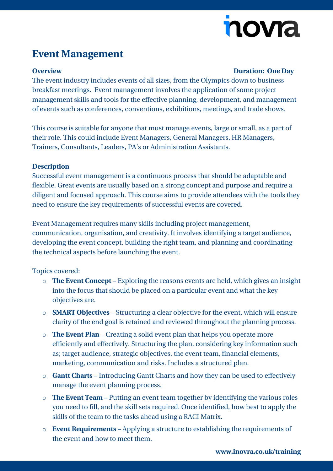# nova

## **Event Management**

### **Overview Duration: One Day**

The event industry includes events of all sizes, from the Olympics down to business breakfast meetings. Event management involves the application of some project management skills and tools for the effective planning, development, and management of events such as conferences, conventions, exhibitions, meetings, and trade shows.

This course is suitable for anyone that must manage events, large or small, as a part of their role. This could include Event Managers, General Managers, HR Managers, Trainers, Consultants, Leaders, PA's or Administration Assistants.

### **Description**

Successful event management is a continuous process that should be adaptable and flexible. Great events are usually based on a strong concept and purpose and require a diligent and focused approach. This course aims to provide attendees with the tools they need to ensure the key requirements of successful events are covered.

Event Management requires many skills including project management, communication, organisation, and creativity. It involves identifying a target audience, developing the event concept, building the right team, and planning and coordinating the technical aspects before launching the event.

### Topics covered:

- o **The Event Concept** Exploring the reasons events are held, which gives an insight into the focus that should be placed on a particular event and what the key objectives are.
- o **SMART Objectives** Structuring a clear objective for the event, which will ensure clarity of the end goal is retained and reviewed throughout the planning process.
- o **The Event Plan** Creating a solid event plan that helps you operate more efficiently and effectively. Structuring the plan, considering key information such as; target audience, strategic objectives, the event team, financial elements, marketing, communication and risks. Includes a structured plan.
- o **Gantt Charts** Introducing Gantt Charts and how they can be used to effectively manage the event planning process.
- o **The Event Team** Putting an event team together by identifying the various roles you need to fill, and the skill sets required. Once identified, how best to apply the skills of the team to the tasks ahead using a RACI Matrix.
- o **Event Requirements** Applying a structure to establishing the requirements of the event and how to meet them.